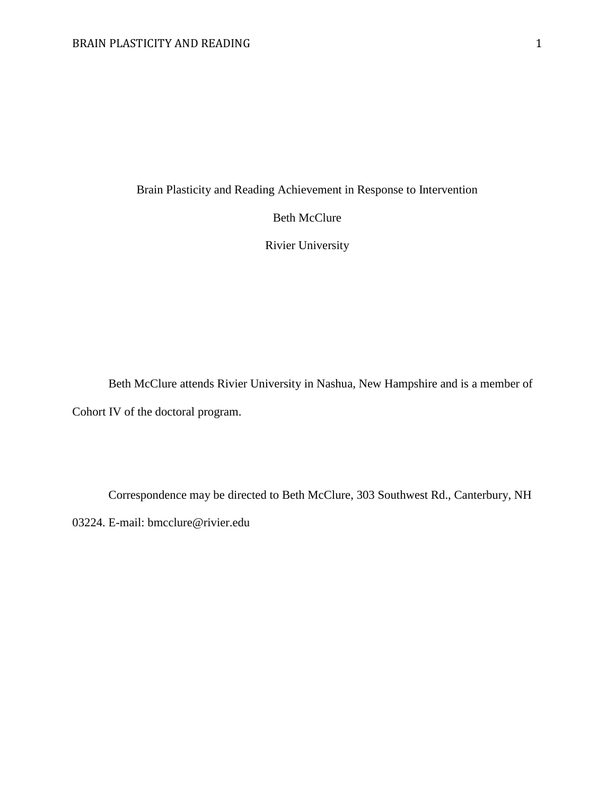Brain Plasticity and Reading Achievement in Response to Intervention

Beth McClure

Rivier University

Beth McClure attends Rivier University in Nashua, New Hampshire and is a member of Cohort IV of the doctoral program.

Correspondence may be directed to Beth McClure, 303 Southwest Rd., Canterbury, NH 03224. E-mail: bmcclure@rivier.edu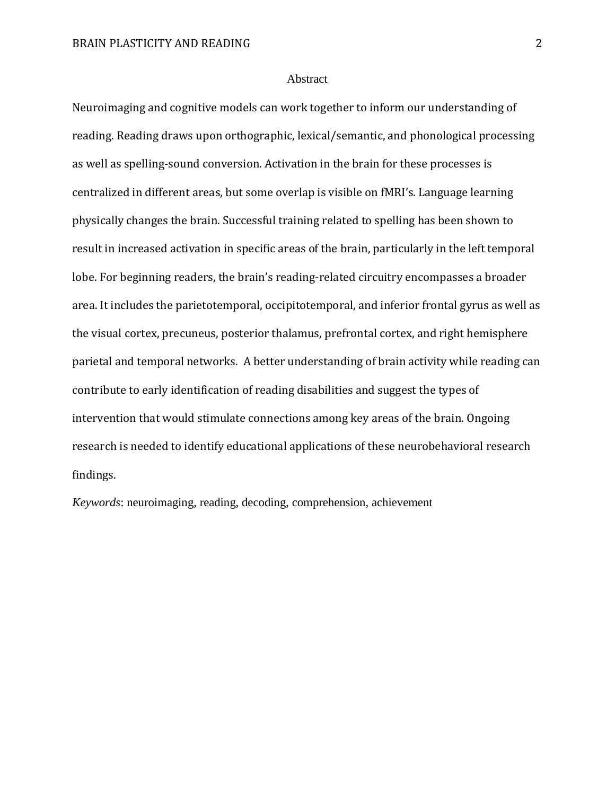### Abstract

Neuroimaging and cognitive models can work together to inform our understanding of reading. Reading draws upon orthographic, lexical/semantic, and phonological processing as well as spelling-sound conversion. Activation in the brain for these processes is centralized in different areas, but some overlap is visible on fMRI's. Language learning physically changes the brain. Successful training related to spelling has been shown to result in increased activation in specific areas of the brain, particularly in the left temporal lobe. For beginning readers, the brain's reading-related circuitry encompasses a broader area. It includes the parietotemporal, occipitotemporal, and inferior frontal gyrus as well as the visual cortex, precuneus, posterior thalamus, prefrontal cortex, and right hemisphere parietal and temporal networks. A better understanding of brain activity while reading can contribute to early identification of reading disabilities and suggest the types of intervention that would stimulate connections among key areas of the brain. Ongoing research is needed to identify educational applications of these neurobehavioral research findings.

*Keywords*: neuroimaging, reading, decoding, comprehension, achievement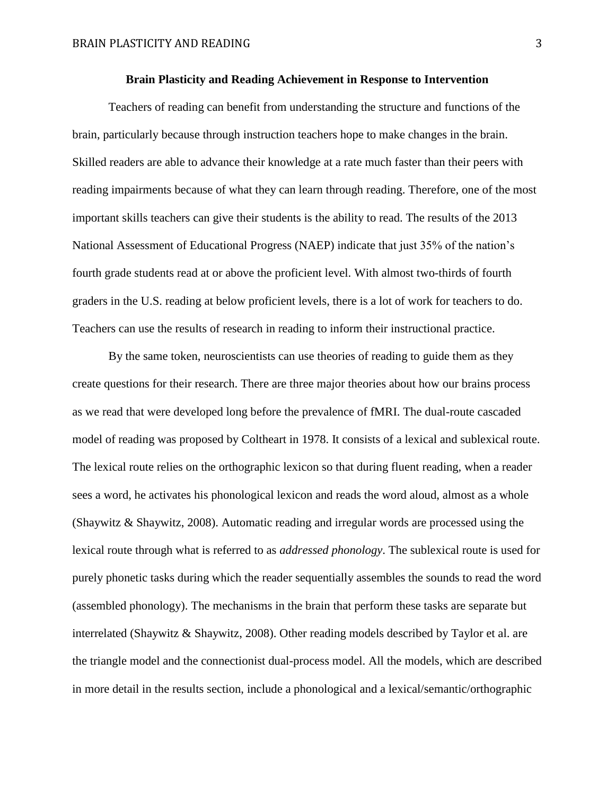### **Brain Plasticity and Reading Achievement in Response to Intervention**

Teachers of reading can benefit from understanding the structure and functions of the brain, particularly because through instruction teachers hope to make changes in the brain. Skilled readers are able to advance their knowledge at a rate much faster than their peers with reading impairments because of what they can learn through reading. Therefore, one of the most important skills teachers can give their students is the ability to read. The results of the 2013 National Assessment of Educational Progress (NAEP) indicate that just 35% of the nation's fourth grade students read at or above the proficient level. With almost two-thirds of fourth graders in the U.S. reading at below proficient levels, there is a lot of work for teachers to do. Teachers can use the results of research in reading to inform their instructional practice.

By the same token, neuroscientists can use theories of reading to guide them as they create questions for their research. There are three major theories about how our brains process as we read that were developed long before the prevalence of fMRI. The dual-route cascaded model of reading was proposed by Coltheart in 1978. It consists of a lexical and sublexical route. The lexical route relies on the orthographic lexicon so that during fluent reading, when a reader sees a word, he activates his phonological lexicon and reads the word aloud, almost as a whole (Shaywitz & Shaywitz, 2008). Automatic reading and irregular words are processed using the lexical route through what is referred to as *addressed phonology*. The sublexical route is used for purely phonetic tasks during which the reader sequentially assembles the sounds to read the word (assembled phonology). The mechanisms in the brain that perform these tasks are separate but interrelated (Shaywitz & Shaywitz, 2008). Other reading models described by Taylor et al. are the triangle model and the connectionist dual-process model. All the models, which are described in more detail in the results section, include a phonological and a lexical/semantic/orthographic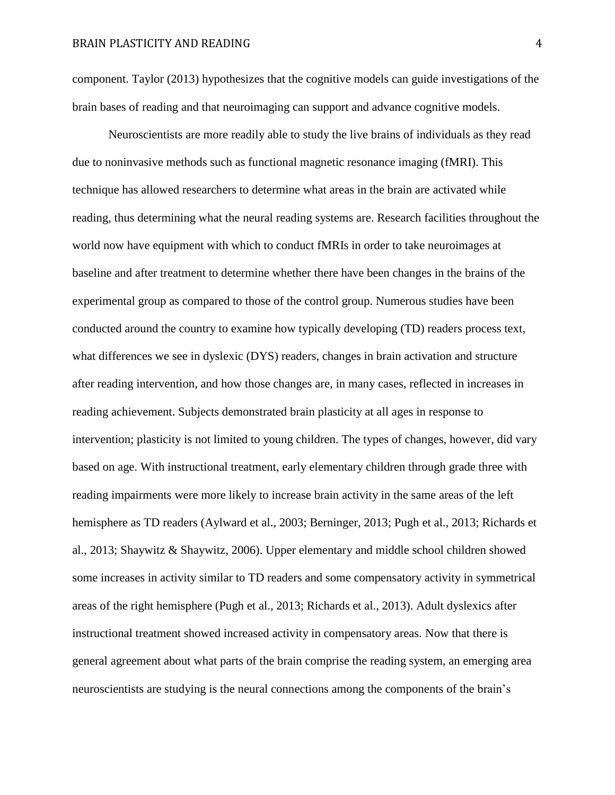component. Taylor (2013) hypothesizes that the cognitive models can guide investigations of the brain bases of reading and that neuroimaging can support and advance cognitive models.

Neuroscientists are more readily able to study the live brains of individuals as they read due to noninvasive methods such as functional magnetic resonance imaging (fMRI). This technique has allowed researchers to determine what areas in the brain are activated while reading, thus determining what the neural reading systems are. Research facilities throughout the world now have equipment with which to conduct fMRIs in order to take neuroimages at baseline and after treatment to determine whether there have been changes in the brains of the experimental group as compared to those of the control group. Numerous studies have been conducted around the country to examine how typically developing (TD) readers process text, what differences we see in dyslexic (DYS) readers, changes in brain activation and structure after reading intervention, and how those changes are, in many cases, reflected in increases in reading achievement. Subjects demonstrated brain plasticity at all ages in response to intervention; plasticity is not limited to young children. The types of changes, however, did vary based on age. With instructional treatment, early elementary children through grade three with reading impairments were more likely to increase brain activity in the same areas of the left hemisphere as TD readers (Aylward et al., 2003; Berninger, 2013; Pugh et al., 2013; Richards et al., 2013; Shaywitz & Shaywitz, 2006). Upper elementary and middle school children showed some increases in activity similar to TD readers and some compensatory activity in symmetrical areas of the right hemisphere (Pugh et al., 2013; Richards et al., 2013). Adult dyslexics after instructional treatment showed increased activity in compensatory areas. Now that there is general agreement about what parts of the brain comprise the reading system, an emerging area neuroscientists are studying is the neural connections among the components of the brain's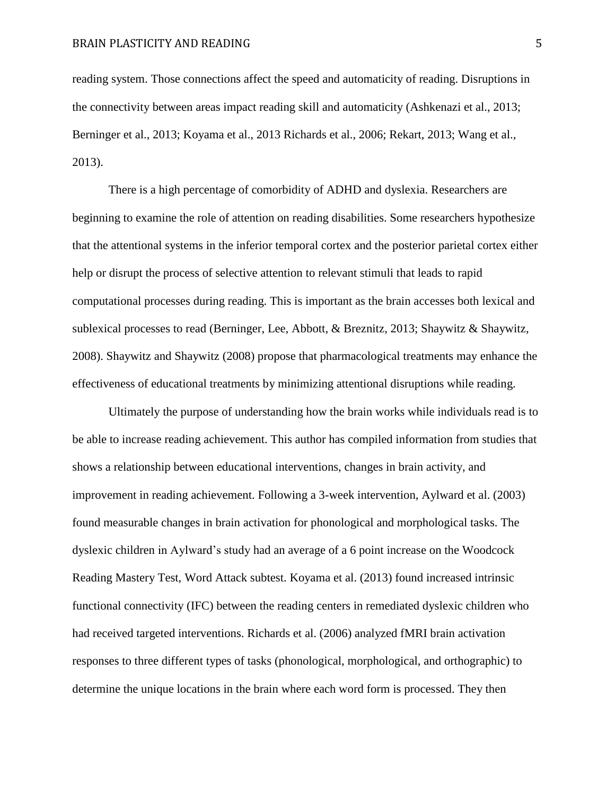reading system. Those connections affect the speed and automaticity of reading. Disruptions in the connectivity between areas impact reading skill and automaticity (Ashkenazi et al., 2013; Berninger et al., 2013; Koyama et al., 2013 Richards et al., 2006; Rekart, 2013; Wang et al., 2013).

There is a high percentage of comorbidity of ADHD and dyslexia. Researchers are beginning to examine the role of attention on reading disabilities. Some researchers hypothesize that the attentional systems in the inferior temporal cortex and the posterior parietal cortex either help or disrupt the process of selective attention to relevant stimuli that leads to rapid computational processes during reading. This is important as the brain accesses both lexical and sublexical processes to read (Berninger, Lee, Abbott, & Breznitz, 2013; Shaywitz & Shaywitz, 2008). Shaywitz and Shaywitz (2008) propose that pharmacological treatments may enhance the effectiveness of educational treatments by minimizing attentional disruptions while reading.

Ultimately the purpose of understanding how the brain works while individuals read is to be able to increase reading achievement. This author has compiled information from studies that shows a relationship between educational interventions, changes in brain activity, and improvement in reading achievement. Following a 3-week intervention, Aylward et al. (2003) found measurable changes in brain activation for phonological and morphological tasks. The dyslexic children in Aylward's study had an average of a 6 point increase on the Woodcock Reading Mastery Test, Word Attack subtest. Koyama et al. (2013) found increased intrinsic functional connectivity (IFC) between the reading centers in remediated dyslexic children who had received targeted interventions. Richards et al. (2006) analyzed fMRI brain activation responses to three different types of tasks (phonological, morphological, and orthographic) to determine the unique locations in the brain where each word form is processed. They then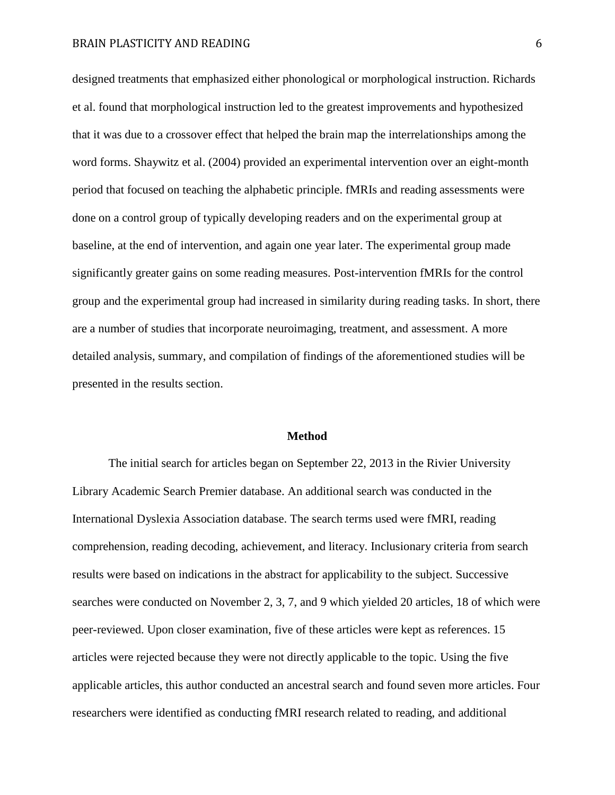## BRAIN PLASTICITY AND READING 6

designed treatments that emphasized either phonological or morphological instruction. Richards et al. found that morphological instruction led to the greatest improvements and hypothesized that it was due to a crossover effect that helped the brain map the interrelationships among the word forms. Shaywitz et al. (2004) provided an experimental intervention over an eight-month period that focused on teaching the alphabetic principle. fMRIs and reading assessments were done on a control group of typically developing readers and on the experimental group at baseline, at the end of intervention, and again one year later. The experimental group made significantly greater gains on some reading measures. Post-intervention fMRIs for the control group and the experimental group had increased in similarity during reading tasks. In short, there are a number of studies that incorporate neuroimaging, treatment, and assessment. A more detailed analysis, summary, and compilation of findings of the aforementioned studies will be presented in the results section.

### **Method**

The initial search for articles began on September 22, 2013 in the Rivier University Library Academic Search Premier database. An additional search was conducted in the International Dyslexia Association database. The search terms used were fMRI, reading comprehension, reading decoding, achievement, and literacy. Inclusionary criteria from search results were based on indications in the abstract for applicability to the subject. Successive searches were conducted on November 2, 3, 7, and 9 which yielded 20 articles, 18 of which were peer-reviewed. Upon closer examination, five of these articles were kept as references. 15 articles were rejected because they were not directly applicable to the topic. Using the five applicable articles, this author conducted an ancestral search and found seven more articles. Four researchers were identified as conducting fMRI research related to reading, and additional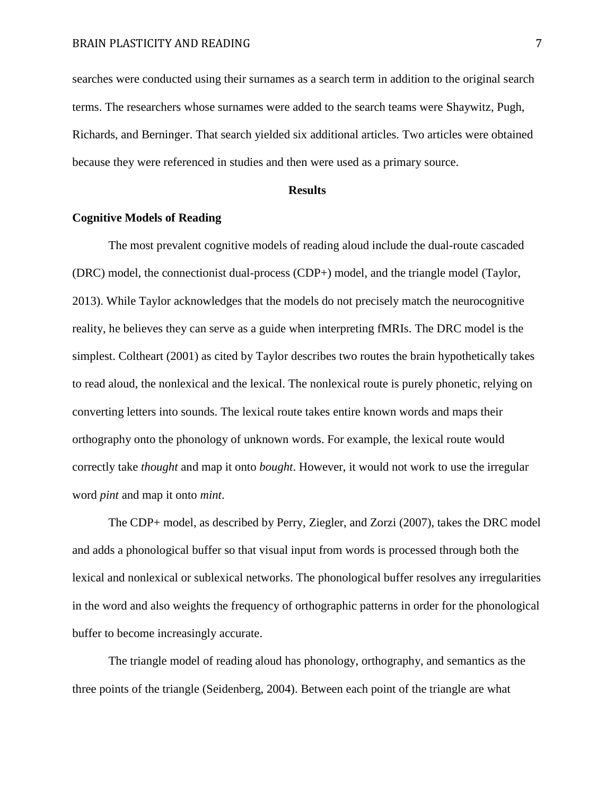searches were conducted using their surnames as a search term in addition to the original search terms. The researchers whose surnames were added to the search teams were Shaywitz, Pugh, Richards, and Berninger. That search yielded six additional articles. Two articles were obtained because they were referenced in studies and then were used as a primary source.

### **Results**

# **Cognitive Models of Reading**

The most prevalent cognitive models of reading aloud include the dual-route cascaded (DRC) model, the connectionist dual-process (CDP+) model, and the triangle model (Taylor, 2013). While Taylor acknowledges that the models do not precisely match the neurocognitive reality, he believes they can serve as a guide when interpreting fMRIs. The DRC model is the simplest. Coltheart (2001) as cited by Taylor describes two routes the brain hypothetically takes to read aloud, the nonlexical and the lexical. The nonlexical route is purely phonetic, relying on converting letters into sounds. The lexical route takes entire known words and maps their orthography onto the phonology of unknown words. For example, the lexical route would correctly take *thought* and map it onto *bought*. However, it would not work to use the irregular word *pint* and map it onto *mint*.

The CDP+ model, as described by Perry, Ziegler, and Zorzi (2007), takes the DRC model and adds a phonological buffer so that visual input from words is processed through both the lexical and nonlexical or sublexical networks. The phonological buffer resolves any irregularities in the word and also weights the frequency of orthographic patterns in order for the phonological buffer to become increasingly accurate.

The triangle model of reading aloud has phonology, orthography, and semantics as the three points of the triangle (Seidenberg, 2004). Between each point of the triangle are what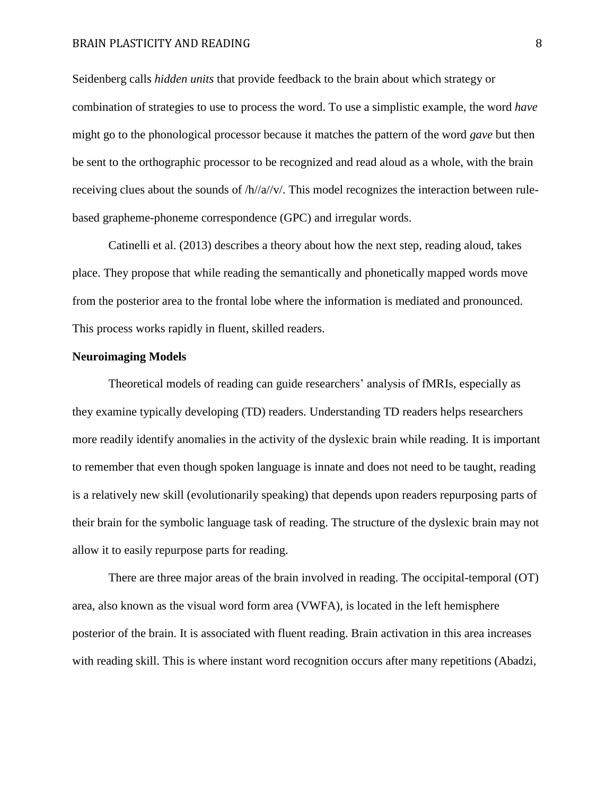## BRAIN PLASTICITY AND READING 8

Seidenberg calls *hidden units* that provide feedback to the brain about which strategy or combination of strategies to use to process the word. To use a simplistic example, the word *have* might go to the phonological processor because it matches the pattern of the word *gave* but then be sent to the orthographic processor to be recognized and read aloud as a whole, with the brain receiving clues about the sounds of /h//a//v/. This model recognizes the interaction between rulebased grapheme-phoneme correspondence (GPC) and irregular words.

Catinelli et al. (2013) describes a theory about how the next step, reading aloud, takes place. They propose that while reading the semantically and phonetically mapped words move from the posterior area to the frontal lobe where the information is mediated and pronounced. This process works rapidly in fluent, skilled readers.

### **Neuroimaging Models**

Theoretical models of reading can guide researchers' analysis of fMRIs, especially as they examine typically developing (TD) readers. Understanding TD readers helps researchers more readily identify anomalies in the activity of the dyslexic brain while reading. It is important to remember that even though spoken language is innate and does not need to be taught, reading is a relatively new skill (evolutionarily speaking) that depends upon readers repurposing parts of their brain for the symbolic language task of reading. The structure of the dyslexic brain may not allow it to easily repurpose parts for reading.

There are three major areas of the brain involved in reading. The occipital-temporal (OT) area, also known as the visual word form area (VWFA), is located in the left hemisphere posterior of the brain. It is associated with fluent reading. Brain activation in this area increases with reading skill. This is where instant word recognition occurs after many repetitions (Abadzi,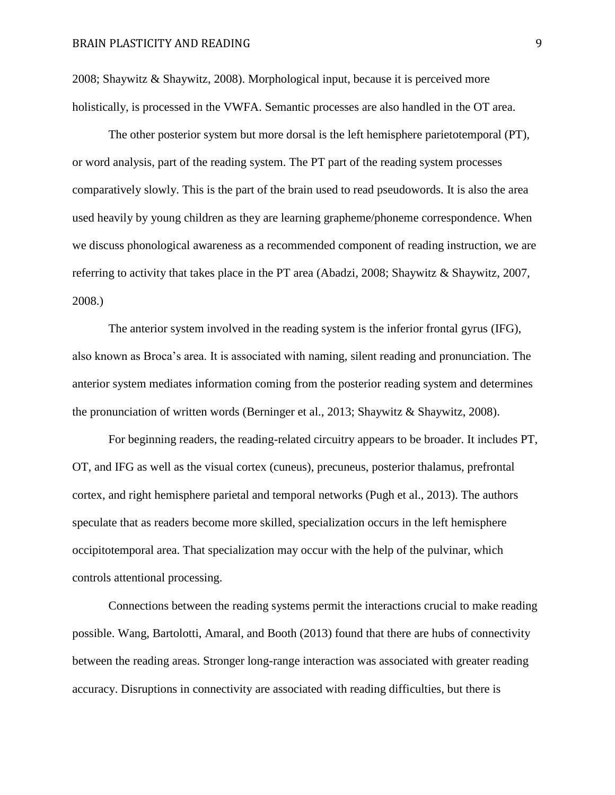2008; Shaywitz & Shaywitz, 2008). Morphological input, because it is perceived more holistically, is processed in the VWFA. Semantic processes are also handled in the OT area.

The other posterior system but more dorsal is the left hemisphere parietotemporal (PT), or word analysis, part of the reading system. The PT part of the reading system processes comparatively slowly. This is the part of the brain used to read pseudowords. It is also the area used heavily by young children as they are learning grapheme/phoneme correspondence. When we discuss phonological awareness as a recommended component of reading instruction, we are referring to activity that takes place in the PT area (Abadzi, 2008; Shaywitz & Shaywitz, 2007, 2008.)

The anterior system involved in the reading system is the inferior frontal gyrus (IFG), also known as Broca's area. It is associated with naming, silent reading and pronunciation. The anterior system mediates information coming from the posterior reading system and determines the pronunciation of written words (Berninger et al., 2013; Shaywitz & Shaywitz, 2008).

For beginning readers, the reading-related circuitry appears to be broader. It includes PT, OT, and IFG as well as the visual cortex (cuneus), precuneus, posterior thalamus, prefrontal cortex, and right hemisphere parietal and temporal networks (Pugh et al., 2013). The authors speculate that as readers become more skilled, specialization occurs in the left hemisphere occipitotemporal area. That specialization may occur with the help of the pulvinar, which controls attentional processing.

Connections between the reading systems permit the interactions crucial to make reading possible. Wang, Bartolotti, Amaral, and Booth (2013) found that there are hubs of connectivity between the reading areas. Stronger long-range interaction was associated with greater reading accuracy. Disruptions in connectivity are associated with reading difficulties, but there is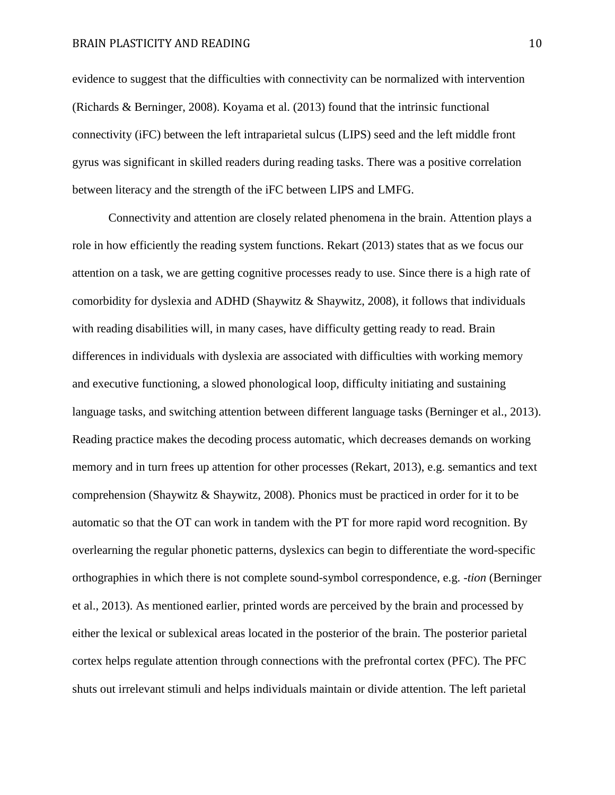## BRAIN PLASTICITY AND READING 10

evidence to suggest that the difficulties with connectivity can be normalized with intervention (Richards & Berninger, 2008). Koyama et al. (2013) found that the intrinsic functional connectivity (iFC) between the left intraparietal sulcus (LIPS) seed and the left middle front gyrus was significant in skilled readers during reading tasks. There was a positive correlation between literacy and the strength of the iFC between LIPS and LMFG.

Connectivity and attention are closely related phenomena in the brain. Attention plays a role in how efficiently the reading system functions. Rekart (2013) states that as we focus our attention on a task, we are getting cognitive processes ready to use. Since there is a high rate of comorbidity for dyslexia and ADHD (Shaywitz & Shaywitz, 2008), it follows that individuals with reading disabilities will, in many cases, have difficulty getting ready to read. Brain differences in individuals with dyslexia are associated with difficulties with working memory and executive functioning, a slowed phonological loop, difficulty initiating and sustaining language tasks, and switching attention between different language tasks (Berninger et al., 2013). Reading practice makes the decoding process automatic, which decreases demands on working memory and in turn frees up attention for other processes (Rekart, 2013), e.g. semantics and text comprehension (Shaywitz & Shaywitz, 2008). Phonics must be practiced in order for it to be automatic so that the OT can work in tandem with the PT for more rapid word recognition. By overlearning the regular phonetic patterns, dyslexics can begin to differentiate the word-specific orthographies in which there is not complete sound-symbol correspondence, e.g. *-tion* (Berninger et al., 2013). As mentioned earlier, printed words are perceived by the brain and processed by either the lexical or sublexical areas located in the posterior of the brain. The posterior parietal cortex helps regulate attention through connections with the prefrontal cortex (PFC). The PFC shuts out irrelevant stimuli and helps individuals maintain or divide attention. The left parietal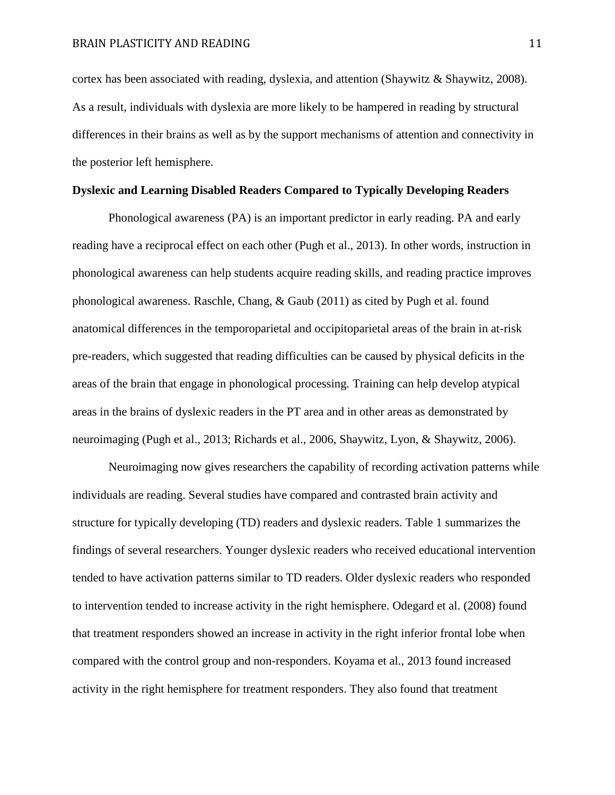cortex has been associated with reading, dyslexia, and attention (Shaywitz & Shaywitz, 2008). As a result, individuals with dyslexia are more likely to be hampered in reading by structural differences in their brains as well as by the support mechanisms of attention and connectivity in the posterior left hemisphere.

# **Dyslexic and Learning Disabled Readers Compared to Typically Developing Readers**

Phonological awareness (PA) is an important predictor in early reading. PA and early reading have a reciprocal effect on each other (Pugh et al., 2013). In other words, instruction in phonological awareness can help students acquire reading skills, and reading practice improves phonological awareness. Raschle, Chang, & Gaub (2011) as cited by Pugh et al. found anatomical differences in the temporoparietal and occipitoparietal areas of the brain in at-risk pre-readers, which suggested that reading difficulties can be caused by physical deficits in the areas of the brain that engage in phonological processing. Training can help develop atypical areas in the brains of dyslexic readers in the PT area and in other areas as demonstrated by neuroimaging (Pugh et al., 2013; Richards et al., 2006, Shaywitz, Lyon, & Shaywitz, 2006).

Neuroimaging now gives researchers the capability of recording activation patterns while individuals are reading. Several studies have compared and contrasted brain activity and structure for typically developing (TD) readers and dyslexic readers. Table 1 summarizes the findings of several researchers. Younger dyslexic readers who received educational intervention tended to have activation patterns similar to TD readers. Older dyslexic readers who responded to intervention tended to increase activity in the right hemisphere. Odegard et al. (2008) found that treatment responders showed an increase in activity in the right inferior frontal lobe when compared with the control group and non-responders. Koyama et al., 2013 found increased activity in the right hemisphere for treatment responders. They also found that treatment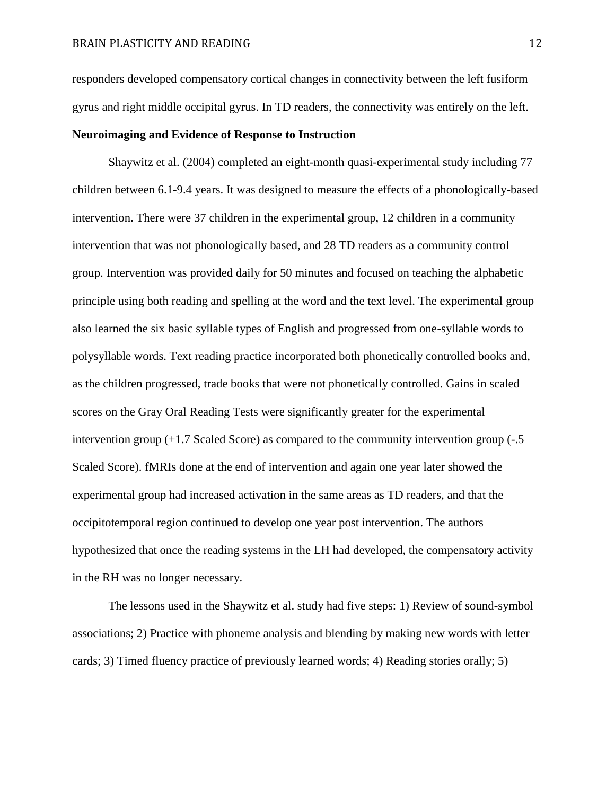responders developed compensatory cortical changes in connectivity between the left fusiform gyrus and right middle occipital gyrus. In TD readers, the connectivity was entirely on the left.

# **Neuroimaging and Evidence of Response to Instruction**

Shaywitz et al. (2004) completed an eight-month quasi-experimental study including 77 children between 6.1-9.4 years. It was designed to measure the effects of a phonologically-based intervention. There were 37 children in the experimental group, 12 children in a community intervention that was not phonologically based, and 28 TD readers as a community control group. Intervention was provided daily for 50 minutes and focused on teaching the alphabetic principle using both reading and spelling at the word and the text level. The experimental group also learned the six basic syllable types of English and progressed from one-syllable words to polysyllable words. Text reading practice incorporated both phonetically controlled books and, as the children progressed, trade books that were not phonetically controlled. Gains in scaled scores on the Gray Oral Reading Tests were significantly greater for the experimental intervention group  $(+1.7$  Scaled Score) as compared to the community intervention group  $(-.5)$ Scaled Score). fMRIs done at the end of intervention and again one year later showed the experimental group had increased activation in the same areas as TD readers, and that the occipitotemporal region continued to develop one year post intervention. The authors hypothesized that once the reading systems in the LH had developed, the compensatory activity in the RH was no longer necessary.

The lessons used in the Shaywitz et al. study had five steps: 1) Review of sound-symbol associations; 2) Practice with phoneme analysis and blending by making new words with letter cards; 3) Timed fluency practice of previously learned words; 4) Reading stories orally; 5)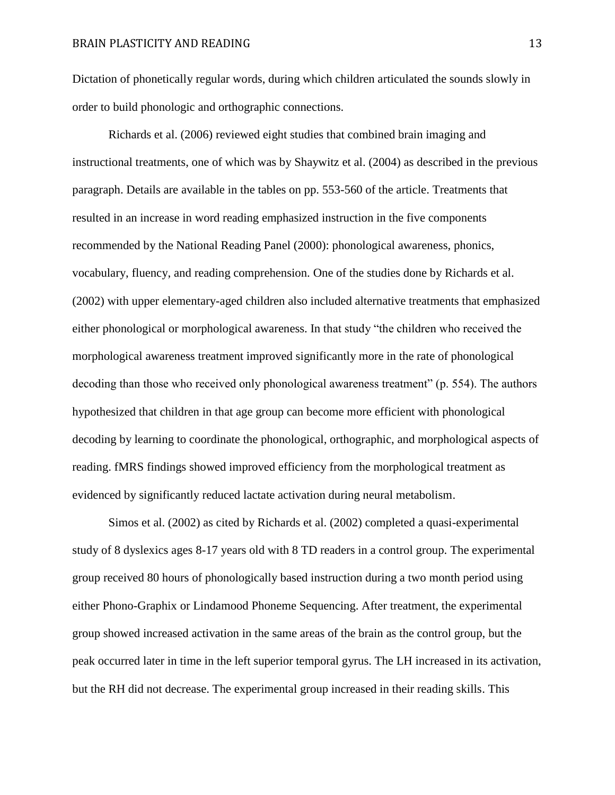Dictation of phonetically regular words, during which children articulated the sounds slowly in order to build phonologic and orthographic connections.

Richards et al. (2006) reviewed eight studies that combined brain imaging and instructional treatments, one of which was by Shaywitz et al. (2004) as described in the previous paragraph. Details are available in the tables on pp. 553-560 of the article. Treatments that resulted in an increase in word reading emphasized instruction in the five components recommended by the National Reading Panel (2000): phonological awareness, phonics, vocabulary, fluency, and reading comprehension. One of the studies done by Richards et al. (2002) with upper elementary-aged children also included alternative treatments that emphasized either phonological or morphological awareness. In that study "the children who received the morphological awareness treatment improved significantly more in the rate of phonological decoding than those who received only phonological awareness treatment" (p. 554). The authors hypothesized that children in that age group can become more efficient with phonological decoding by learning to coordinate the phonological, orthographic, and morphological aspects of reading. fMRS findings showed improved efficiency from the morphological treatment as evidenced by significantly reduced lactate activation during neural metabolism.

Simos et al. (2002) as cited by Richards et al. (2002) completed a quasi-experimental study of 8 dyslexics ages 8-17 years old with 8 TD readers in a control group. The experimental group received 80 hours of phonologically based instruction during a two month period using either Phono-Graphix or Lindamood Phoneme Sequencing. After treatment, the experimental group showed increased activation in the same areas of the brain as the control group, but the peak occurred later in time in the left superior temporal gyrus. The LH increased in its activation, but the RH did not decrease. The experimental group increased in their reading skills. This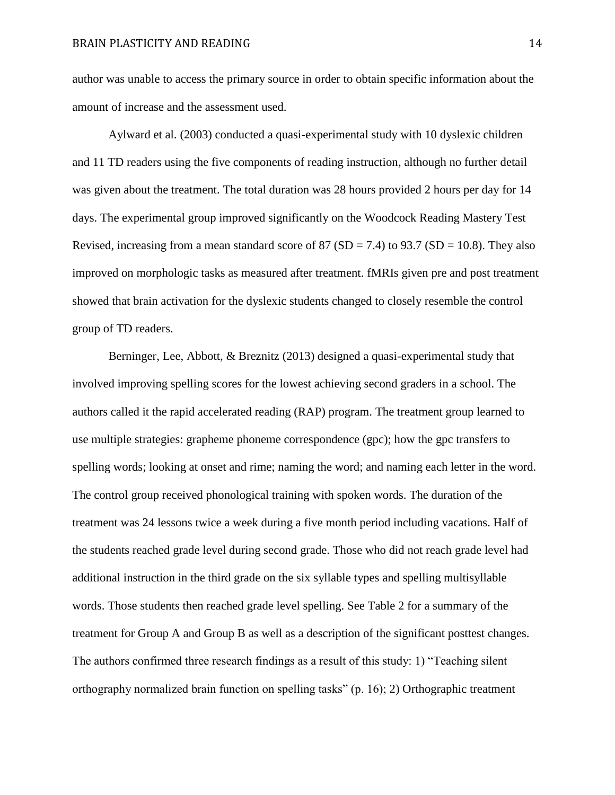author was unable to access the primary source in order to obtain specific information about the amount of increase and the assessment used.

Aylward et al. (2003) conducted a quasi-experimental study with 10 dyslexic children and 11 TD readers using the five components of reading instruction, although no further detail was given about the treatment. The total duration was 28 hours provided 2 hours per day for 14 days. The experimental group improved significantly on the Woodcock Reading Mastery Test Revised, increasing from a mean standard score of  $87 \text{ (SD} = 7.4)$  to  $93.7 \text{ (SD} = 10.8)$ . They also improved on morphologic tasks as measured after treatment. fMRIs given pre and post treatment showed that brain activation for the dyslexic students changed to closely resemble the control group of TD readers.

Berninger, Lee, Abbott, & Breznitz (2013) designed a quasi-experimental study that involved improving spelling scores for the lowest achieving second graders in a school. The authors called it the rapid accelerated reading (RAP) program. The treatment group learned to use multiple strategies: grapheme phoneme correspondence (gpc); how the gpc transfers to spelling words; looking at onset and rime; naming the word; and naming each letter in the word. The control group received phonological training with spoken words. The duration of the treatment was 24 lessons twice a week during a five month period including vacations. Half of the students reached grade level during second grade. Those who did not reach grade level had additional instruction in the third grade on the six syllable types and spelling multisyllable words. Those students then reached grade level spelling. See Table 2 for a summary of the treatment for Group A and Group B as well as a description of the significant posttest changes. The authors confirmed three research findings as a result of this study: 1) "Teaching silent orthography normalized brain function on spelling tasks" (p. 16); 2) Orthographic treatment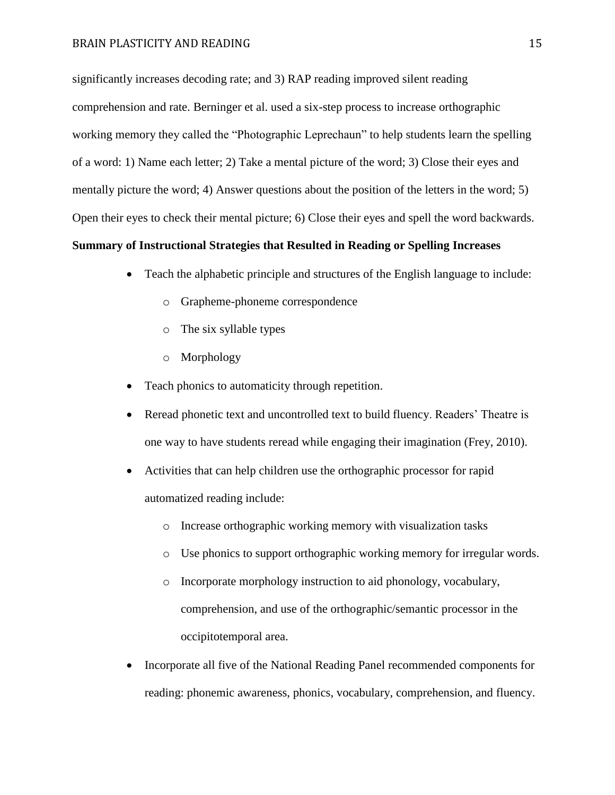significantly increases decoding rate; and 3) RAP reading improved silent reading comprehension and rate. Berninger et al. used a six-step process to increase orthographic working memory they called the "Photographic Leprechaun" to help students learn the spelling of a word: 1) Name each letter; 2) Take a mental picture of the word; 3) Close their eyes and mentally picture the word; 4) Answer questions about the position of the letters in the word; 5) Open their eyes to check their mental picture; 6) Close their eyes and spell the word backwards.

# **Summary of Instructional Strategies that Resulted in Reading or Spelling Increases**

- Teach the alphabetic principle and structures of the English language to include:
	- o Grapheme-phoneme correspondence
	- o The six syllable types
	- o Morphology
- Teach phonics to automaticity through repetition.
- Reread phonetic text and uncontrolled text to build fluency. Readers' Theatre is one way to have students reread while engaging their imagination (Frey, 2010).
- Activities that can help children use the orthographic processor for rapid automatized reading include:
	- o Increase orthographic working memory with visualization tasks
	- o Use phonics to support orthographic working memory for irregular words.
	- o Incorporate morphology instruction to aid phonology, vocabulary, comprehension, and use of the orthographic/semantic processor in the occipitotemporal area.
- Incorporate all five of the National Reading Panel recommended components for reading: phonemic awareness, phonics, vocabulary, comprehension, and fluency.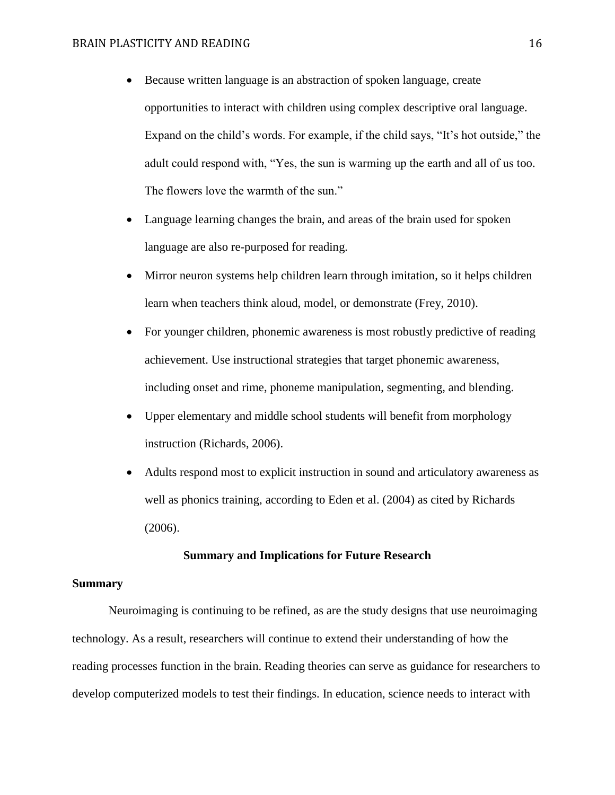- Because written language is an abstraction of spoken language, create opportunities to interact with children using complex descriptive oral language. Expand on the child's words. For example, if the child says, "It's hot outside," the adult could respond with, "Yes, the sun is warming up the earth and all of us too. The flowers love the warmth of the sun."
- Language learning changes the brain, and areas of the brain used for spoken language are also re-purposed for reading.
- Mirror neuron systems help children learn through imitation, so it helps children learn when teachers think aloud, model, or demonstrate (Frey, 2010).
- For younger children, phonemic awareness is most robustly predictive of reading achievement. Use instructional strategies that target phonemic awareness, including onset and rime, phoneme manipulation, segmenting, and blending.
- Upper elementary and middle school students will benefit from morphology instruction (Richards, 2006).
- Adults respond most to explicit instruction in sound and articulatory awareness as well as phonics training, according to Eden et al. (2004) as cited by Richards (2006).

### **Summary and Implications for Future Research**

#### **Summary**

Neuroimaging is continuing to be refined, as are the study designs that use neuroimaging technology. As a result, researchers will continue to extend their understanding of how the reading processes function in the brain. Reading theories can serve as guidance for researchers to develop computerized models to test their findings. In education, science needs to interact with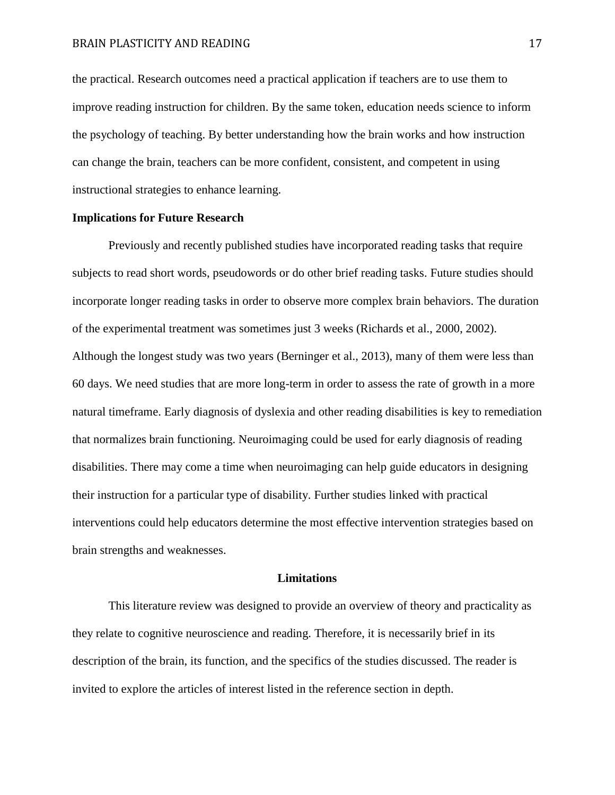the practical. Research outcomes need a practical application if teachers are to use them to improve reading instruction for children. By the same token, education needs science to inform the psychology of teaching. By better understanding how the brain works and how instruction can change the brain, teachers can be more confident, consistent, and competent in using instructional strategies to enhance learning.

## **Implications for Future Research**

Previously and recently published studies have incorporated reading tasks that require subjects to read short words, pseudowords or do other brief reading tasks. Future studies should incorporate longer reading tasks in order to observe more complex brain behaviors. The duration of the experimental treatment was sometimes just 3 weeks (Richards et al., 2000, 2002). Although the longest study was two years (Berninger et al., 2013), many of them were less than 60 days. We need studies that are more long-term in order to assess the rate of growth in a more natural timeframe. Early diagnosis of dyslexia and other reading disabilities is key to remediation that normalizes brain functioning. Neuroimaging could be used for early diagnosis of reading disabilities. There may come a time when neuroimaging can help guide educators in designing their instruction for a particular type of disability. Further studies linked with practical interventions could help educators determine the most effective intervention strategies based on brain strengths and weaknesses.

### **Limitations**

This literature review was designed to provide an overview of theory and practicality as they relate to cognitive neuroscience and reading. Therefore, it is necessarily brief in its description of the brain, its function, and the specifics of the studies discussed. The reader is invited to explore the articles of interest listed in the reference section in depth.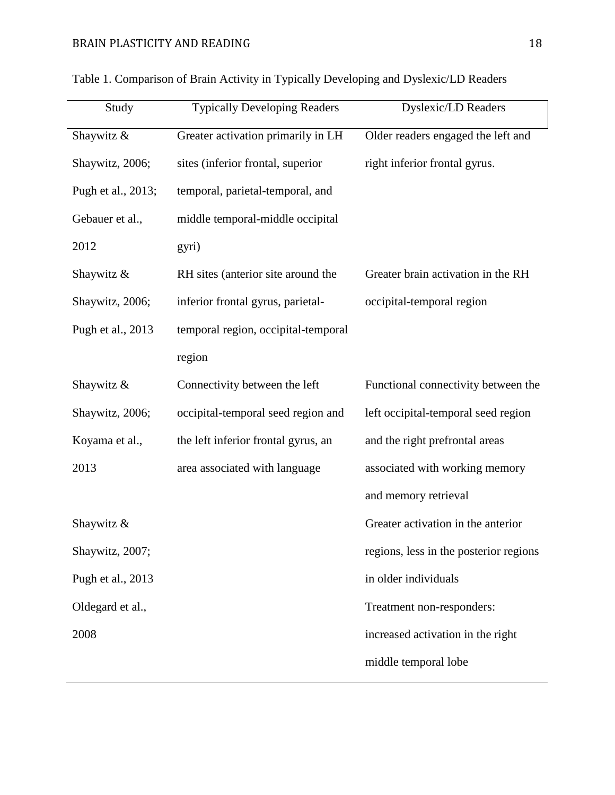# BRAIN PLASTICITY AND READING 18

| Study              | <b>Typically Developing Readers</b>                            | <b>Dyslexic/LD Readers</b>             |
|--------------------|----------------------------------------------------------------|----------------------------------------|
| Shaywitz &         | Greater activation primarily in LH                             | Older readers engaged the left and     |
| Shaywitz, 2006;    | sites (inferior frontal, superior                              | right inferior frontal gyrus.          |
| Pugh et al., 2013; | temporal, parietal-temporal, and                               |                                        |
| Gebauer et al.,    | middle temporal-middle occipital                               |                                        |
| 2012               | gyri)                                                          |                                        |
| Shaywitz &         | RH sites (anterior site around the                             | Greater brain activation in the RH     |
| Shaywitz, 2006;    | inferior frontal gyrus, parietal-<br>occipital-temporal region |                                        |
| Pugh et al., 2013  | temporal region, occipital-temporal                            |                                        |
|                    | region                                                         |                                        |
| Shaywitz &         | Connectivity between the left                                  | Functional connectivity between the    |
| Shaywitz, 2006;    | occipital-temporal seed region and                             | left occipital-temporal seed region    |
| Koyama et al.,     | the left inferior frontal gyrus, an                            | and the right prefrontal areas         |
| 2013               | area associated with language                                  | associated with working memory         |
|                    |                                                                | and memory retrieval                   |
| Shaywitz &         |                                                                | Greater activation in the anterior     |
| Shaywitz, 2007;    |                                                                | regions, less in the posterior regions |
| Pugh et al., 2013  |                                                                | in older individuals                   |
| Oldegard et al.,   |                                                                | Treatment non-responders:              |
| 2008               |                                                                | increased activation in the right      |
|                    |                                                                | middle temporal lobe                   |

Table 1. Comparison of Brain Activity in Typically Developing and Dyslexic/LD Readers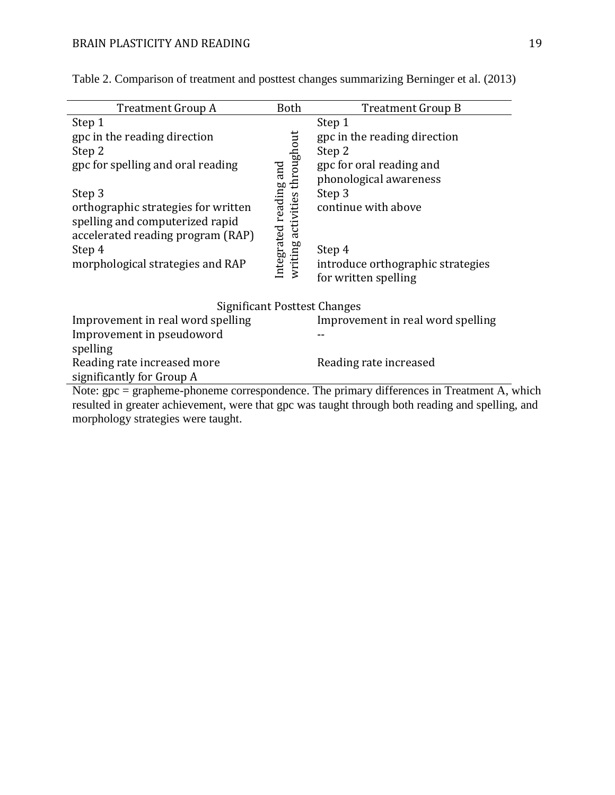| Treatment Group A                                                                                                                                                                                                                                                                                                                                        | Both                                                    | Treatment Group B                           |  |
|----------------------------------------------------------------------------------------------------------------------------------------------------------------------------------------------------------------------------------------------------------------------------------------------------------------------------------------------------------|---------------------------------------------------------|---------------------------------------------|--|
| Step 1                                                                                                                                                                                                                                                                                                                                                   |                                                         | Step 1                                      |  |
| gpc in the reading direction                                                                                                                                                                                                                                                                                                                             |                                                         | gpc in the reading direction                |  |
| Step 2                                                                                                                                                                                                                                                                                                                                                   |                                                         | Step 2                                      |  |
| gpc for spelling and oral reading                                                                                                                                                                                                                                                                                                                        |                                                         | gpc for oral reading and                    |  |
|                                                                                                                                                                                                                                                                                                                                                          |                                                         | phonological awareness                      |  |
| Step 3                                                                                                                                                                                                                                                                                                                                                   |                                                         | Step 3                                      |  |
| orthographic strategies for written                                                                                                                                                                                                                                                                                                                      |                                                         | continue with above                         |  |
| spelling and computerized rapid                                                                                                                                                                                                                                                                                                                          |                                                         |                                             |  |
| accelerated reading program (RAP)                                                                                                                                                                                                                                                                                                                        | Integrated reading and<br>writing activities throughout |                                             |  |
| Step 4<br>morphological strategies and RAP                                                                                                                                                                                                                                                                                                               |                                                         | Step 4<br>introduce orthographic strategies |  |
|                                                                                                                                                                                                                                                                                                                                                          |                                                         | for written spelling                        |  |
|                                                                                                                                                                                                                                                                                                                                                          |                                                         |                                             |  |
| <b>Significant Posttest Changes</b>                                                                                                                                                                                                                                                                                                                      |                                                         |                                             |  |
| Improvement in real word spelling                                                                                                                                                                                                                                                                                                                        |                                                         | Improvement in real word spelling           |  |
| Improvement in pseudoword                                                                                                                                                                                                                                                                                                                                |                                                         |                                             |  |
| spelling                                                                                                                                                                                                                                                                                                                                                 |                                                         |                                             |  |
| Reading rate increased more                                                                                                                                                                                                                                                                                                                              |                                                         | Reading rate increased                      |  |
| significantly for Group A                                                                                                                                                                                                                                                                                                                                |                                                         |                                             |  |
| Note: $\alpha$ = $\alpha$ = $\alpha$ = $\alpha$ = $\alpha$ = $\alpha$ = $\alpha$ = $\alpha$ = $\alpha$ = $\alpha$ = $\alpha$ = $\alpha$ = $\alpha$ = $\alpha$ = $\alpha$ = $\alpha$ = $\alpha$ = $\alpha$ = $\alpha$ = $\alpha$ = $\alpha$ = $\alpha$ = $\alpha$ = $\alpha$ = $\alpha$ = $\alpha$ = $\alpha$ = $\alpha$ = $\alpha$ = $\alpha$ = $\alpha$ |                                                         |                                             |  |

Table 2. Comparison of treatment and posttest changes summarizing Berninger et al. (2013)

Note: gpc = grapheme-phoneme correspondence. The primary differences in Treatment A, which resulted in greater achievement, were that gpc was taught through both reading and spelling, and morphology strategies were taught.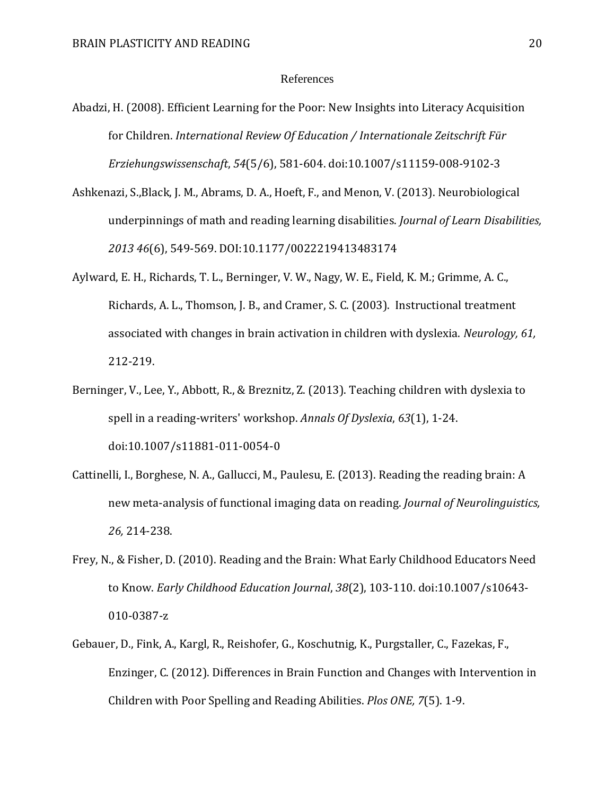# References

- Abadzi, H. (2008). Efficient Learning for the Poor: New Insights into Literacy Acquisition for Children. *International Review Of Education / Internationale Zeitschrift Für Erziehungswissenschaft*, *54*(5/6), 581-604. doi:10.1007/s11159-008-9102-3
- Ashkenazi, S.,Black, J. M., Abrams, D. A., Hoeft, F., and Menon, V. (2013). Neurobiological underpinnings of math and reading learning disabilities. *Journal of Learn Disabilities, 2013 46*(6), 549-569. DOI:10.1177/0022219413483174
- Aylward, E. H., Richards, T. L., Berninger, V. W., Nagy, W. E., Field, K. M.; Grimme, A. C., Richards, A. L., Thomson, J. B., and Cramer, S. C. (2003). Instructional treatment associated with changes in brain activation in children with dyslexia. *Neurology, 61,*  212-219.
- Berninger, V., Lee, Y., Abbott, R., & Breznitz, Z. (2013). Teaching children with dyslexia to spell in a reading-writers' workshop. *Annals Of Dyslexia*, *63*(1), 1-24. doi:10.1007/s11881-011-0054-0
- Cattinelli, I., Borghese, N. A., Gallucci, M., Paulesu, E. (2013). Reading the reading brain: A new meta-analysis of functional imaging data on reading. *Journal of Neurolinguistics, 26,* 214-238.
- Frey, N., & Fisher, D. (2010). Reading and the Brain: What Early Childhood Educators Need to Know. *Early Childhood Education Journal*, *38*(2), 103-110. doi:10.1007/s10643- 010-0387-z
- Gebauer, D., Fink, A., Kargl, R., Reishofer, G., Koschutnig, K., Purgstaller, C., Fazekas, F., Enzinger, C. (2012). Differences in Brain Function and Changes with Intervention in Children with Poor Spelling and Reading Abilities. *Plos ONE, 7*(5). 1-9.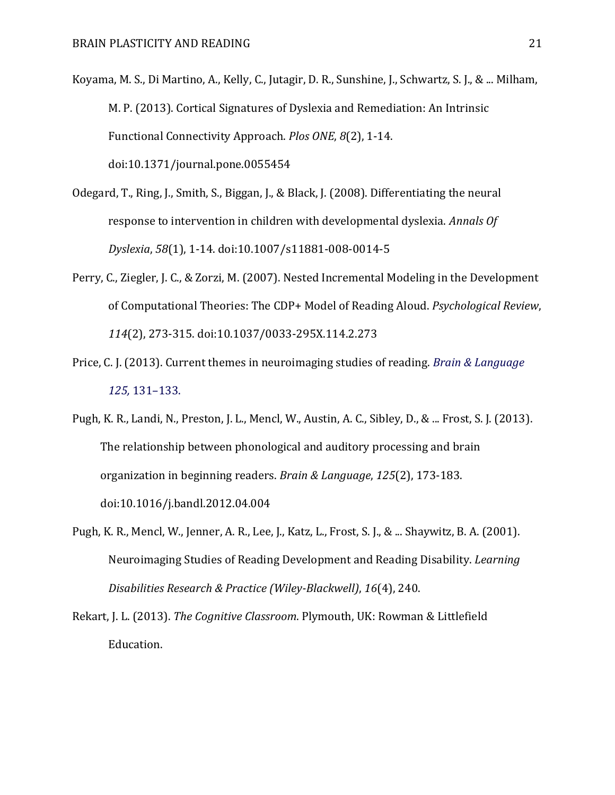Koyama, M. S., Di Martino, A., Kelly, C., Jutagir, D. R., Sunshine, J., Schwartz, S. J., & ... Milham, M. P. (2013). Cortical Signatures of Dyslexia and Remediation: An Intrinsic Functional Connectivity Approach. *Plos ONE*, *8*(2), 1-14. doi:10.1371/journal.pone.0055454

- Odegard, T., Ring, J., Smith, S., Biggan, J., & Black, J. (2008). Differentiating the neural response to intervention in children with developmental dyslexia. *Annals Of Dyslexia*, *58*(1), 1-14. doi:10.1007/s11881-008-0014-5
- Perry, C., Ziegler, J. C., & Zorzi, M. (2007). Nested Incremental Modeling in the Development of Computational Theories: The CDP+ Model of Reading Aloud. *Psychological Review*, *114*(2), 273-315. doi:10.1037/0033-295X.114.2.273
- Price, C. J. (2013). Current themes in neuroimaging studies of reading. *Brain & Language 125,* 131–133.
- Pugh, K. R., Landi, N., Preston, J. L., Mencl, W., Austin, A. C., Sibley, D., & ... Frost, S. J. (2013). The relationship between phonological and auditory processing and brain organization in beginning readers. *Brain & Language*, *125*(2), 173-183. doi:10.1016/j.bandl.2012.04.004
- Pugh, K. R., Mencl, W., Jenner, A. R., Lee, J., Katz, L., Frost, S. J., & ... Shaywitz, B. A. (2001). Neuroimaging Studies of Reading Development and Reading Disability. *Learning Disabilities Research & Practice (Wiley-Blackwell)*, *16*(4), 240.

Rekart, J. L. (2013). *The Cognitive Classroom*. Plymouth, UK: Rowman & Littlefield Education.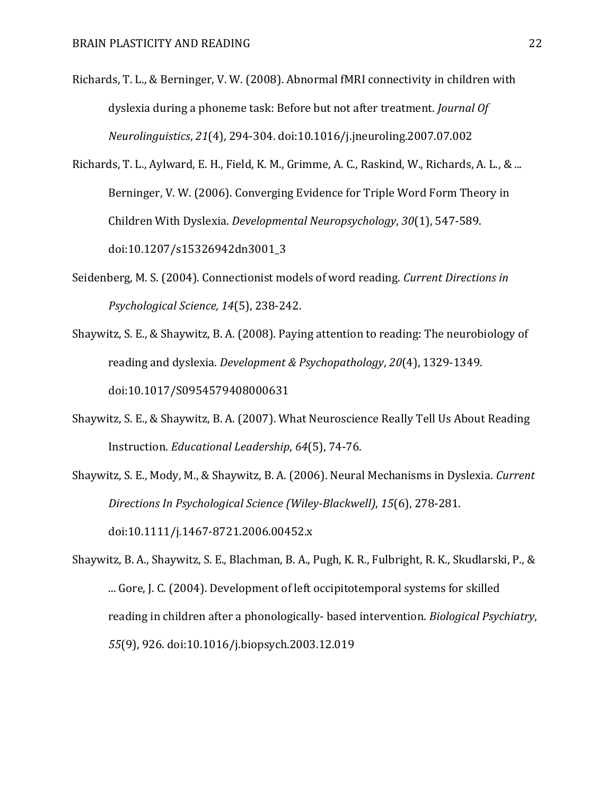- Richards, T. L., & Berninger, V. W. (2008). Abnormal fMRI connectivity in children with dyslexia during a phoneme task: Before but not after treatment. *Journal Of Neurolinguistics*, *21*(4), 294-304. doi:10.1016/j.jneuroling.2007.07.002
- Richards, T. L., Aylward, E. H., Field, K. M., Grimme, A. C., Raskind, W., Richards, A. L., & ... Berninger, V. W. (2006). Converging Evidence for Triple Word Form Theory in Children With Dyslexia. *Developmental Neuropsychology*, *30*(1), 547-589. doi:10.1207/s15326942dn3001\_3
- Seidenberg, M. S. (2004). Connectionist models of word reading. *Current Directions in Psychological Science, 14*(5), 238-242.
- Shaywitz, S. E., & Shaywitz, B. A. (2008). Paying attention to reading: The neurobiology of reading and dyslexia. *Development & Psychopathology*, *20*(4), 1329-1349. doi:10.1017/S0954579408000631
- Shaywitz, S. E., & Shaywitz, B. A. (2007). What Neuroscience Really Tell Us About Reading Instruction. *Educational Leadership*, *64*(5), 74-76.
- Shaywitz, S. E., Mody, M., & Shaywitz, B. A. (2006). Neural Mechanisms in Dyslexia. *Current Directions In Psychological Science (Wiley-Blackwell)*, *15*(6), 278-281. doi:10.1111/j.1467-8721.2006.00452.x
- Shaywitz, B. A., Shaywitz, S. E., Blachman, B. A., Pugh, K. R., Fulbright, R. K., Skudlarski, P., & ... Gore, J. C. (2004). Development of left occipitotemporal systems for skilled reading in children after a phonologically- based intervention. *Biological Psychiatry*, *55*(9), 926. doi:10.1016/j.biopsych.2003.12.019